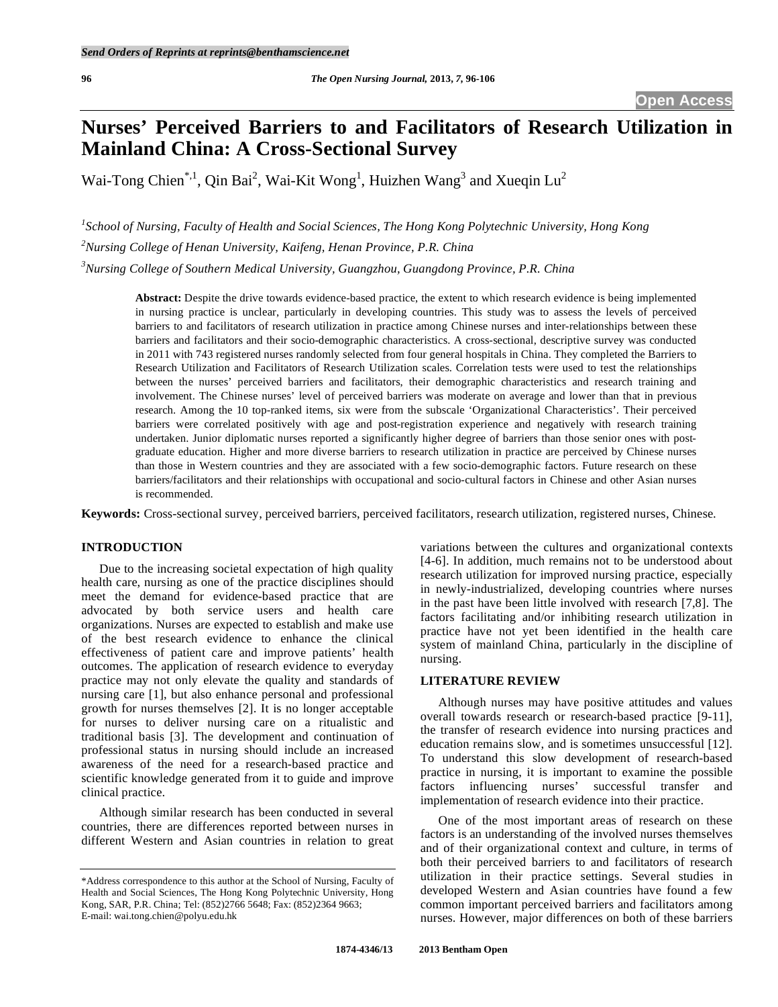# **Nurses' Perceived Barriers to and Facilitators of Research Utilization in Mainland China: A Cross-Sectional Survey**

Wai-Tong Chien<sup>\*,1</sup>, Qin Bai<sup>2</sup>, Wai-Kit Wong<sup>1</sup>, Huizhen Wang<sup>3</sup> and Xueqin Lu<sup>2</sup>

*1 School of Nursing, Faculty of Health and Social Sciences, The Hong Kong Polytechnic University, Hong Kong 2 Nursing College of Henan University, Kaifeng, Henan Province, P.R. China 3 Nursing College of Southern Medical University, Guangzhou, Guangdong Province, P.R. China* 

**Abstract:** Despite the drive towards evidence-based practice, the extent to which research evidence is being implemented in nursing practice is unclear, particularly in developing countries. This study was to assess the levels of perceived barriers to and facilitators of research utilization in practice among Chinese nurses and inter-relationships between these barriers and facilitators and their socio-demographic characteristics. A cross-sectional, descriptive survey was conducted in 2011 with 743 registered nurses randomly selected from four general hospitals in China. They completed the Barriers to Research Utilization and Facilitators of Research Utilization scales. Correlation tests were used to test the relationships between the nurses' perceived barriers and facilitators, their demographic characteristics and research training and involvement. The Chinese nurses' level of perceived barriers was moderate on average and lower than that in previous research. Among the 10 top-ranked items, six were from the subscale 'Organizational Characteristics'. Their perceived barriers were correlated positively with age and post-registration experience and negatively with research training undertaken. Junior diplomatic nurses reported a significantly higher degree of barriers than those senior ones with postgraduate education. Higher and more diverse barriers to research utilization in practice are perceived by Chinese nurses than those in Western countries and they are associated with a few socio-demographic factors. Future research on these barriers/facilitators and their relationships with occupational and socio-cultural factors in Chinese and other Asian nurses is recommended.

**Keywords:** Cross-sectional survey, perceived barriers, perceived facilitators, research utilization, registered nurses, Chinese.

### **INTRODUCTION**

 Due to the increasing societal expectation of high quality health care, nursing as one of the practice disciplines should meet the demand for evidence-based practice that are advocated by both service users and health care organizations. Nurses are expected to establish and make use of the best research evidence to enhance the clinical effectiveness of patient care and improve patients' health outcomes. The application of research evidence to everyday practice may not only elevate the quality and standards of nursing care [1], but also enhance personal and professional growth for nurses themselves [2]. It is no longer acceptable for nurses to deliver nursing care on a ritualistic and traditional basis [3]. The development and continuation of professional status in nursing should include an increased awareness of the need for a research-based practice and scientific knowledge generated from it to guide and improve clinical practice.

 Although similar research has been conducted in several countries, there are differences reported between nurses in different Western and Asian countries in relation to great variations between the cultures and organizational contexts [4-6]. In addition, much remains not to be understood about research utilization for improved nursing practice, especially in newly-industrialized, developing countries where nurses in the past have been little involved with research [7,8]. The factors facilitating and/or inhibiting research utilization in practice have not yet been identified in the health care system of mainland China, particularly in the discipline of nursing.

#### **LITERATURE REVIEW**

 Although nurses may have positive attitudes and values overall towards research or research-based practice [9-11], the transfer of research evidence into nursing practices and education remains slow, and is sometimes unsuccessful [12]. To understand this slow development of research-based practice in nursing, it is important to examine the possible factors influencing nurses' successful transfer and implementation of research evidence into their practice.

 One of the most important areas of research on these factors is an understanding of the involved nurses themselves and of their organizational context and culture, in terms of both their perceived barriers to and facilitators of research utilization in their practice settings. Several studies in developed Western and Asian countries have found a few common important perceived barriers and facilitators among nurses. However, major differences on both of these barriers

<sup>\*</sup>Address correspondence to this author at the School of Nursing, Faculty of Health and Social Sciences, The Hong Kong Polytechnic University, Hong Kong, SAR, P.R. China; Tel: (852)2766 5648; Fax: (852)2364 9663; E-mail: wai.tong.chien@polyu.edu.hk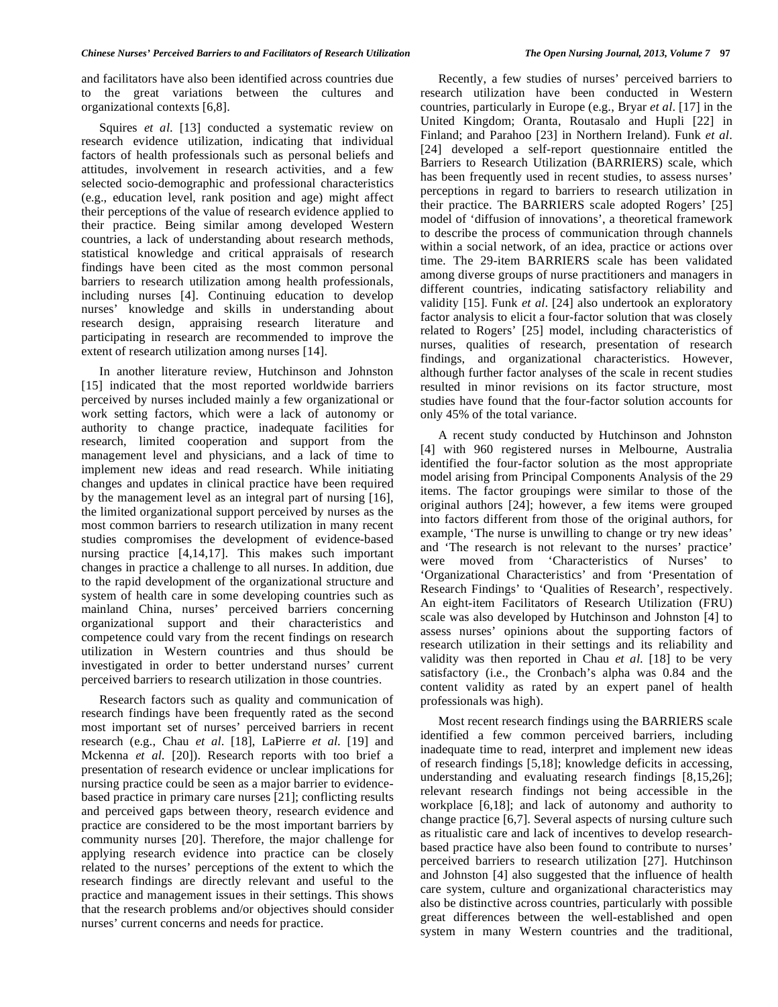and facilitators have also been identified across countries due to the great variations between the cultures and organizational contexts [6,8].

Squires *et al.* [13] conducted a systematic review on research evidence utilization, indicating that individual factors of health professionals such as personal beliefs and attitudes, involvement in research activities, and a few selected socio-demographic and professional characteristics (e.g., education level, rank position and age) might affect their perceptions of the value of research evidence applied to their practice. Being similar among developed Western countries, a lack of understanding about research methods, statistical knowledge and critical appraisals of research findings have been cited as the most common personal barriers to research utilization among health professionals, including nurses [4]. Continuing education to develop nurses' knowledge and skills in understanding about research design, appraising research literature and participating in research are recommended to improve the extent of research utilization among nurses [14].

 In another literature review, Hutchinson and Johnston [15] indicated that the most reported worldwide barriers perceived by nurses included mainly a few organizational or work setting factors, which were a lack of autonomy or authority to change practice, inadequate facilities for research, limited cooperation and support from the management level and physicians, and a lack of time to implement new ideas and read research. While initiating changes and updates in clinical practice have been required by the management level as an integral part of nursing [16], the limited organizational support perceived by nurses as the most common barriers to research utilization in many recent studies compromises the development of evidence-based nursing practice [4,14,17]. This makes such important changes in practice a challenge to all nurses. In addition, due to the rapid development of the organizational structure and system of health care in some developing countries such as mainland China, nurses' perceived barriers concerning organizational support and their characteristics and competence could vary from the recent findings on research utilization in Western countries and thus should be investigated in order to better understand nurses' current perceived barriers to research utilization in those countries.

 Research factors such as quality and communication of research findings have been frequently rated as the second most important set of nurses' perceived barriers in recent research (e.g., Chau *et al*. [18], LaPierre *et al*. [19] and Mckenna *et al*. [20]). Research reports with too brief a presentation of research evidence or unclear implications for nursing practice could be seen as a major barrier to evidencebased practice in primary care nurses [21]; conflicting results and perceived gaps between theory, research evidence and practice are considered to be the most important barriers by community nurses [20]. Therefore, the major challenge for applying research evidence into practice can be closely related to the nurses' perceptions of the extent to which the research findings are directly relevant and useful to the practice and management issues in their settings. This shows that the research problems and/or objectives should consider nurses' current concerns and needs for practice.

 Recently, a few studies of nurses' perceived barriers to research utilization have been conducted in Western countries, particularly in Europe (e.g., Bryar *et al*. [17] in the United Kingdom; Oranta, Routasalo and Hupli [22] in Finland; and Parahoo [23] in Northern Ireland). Funk *et al*. [24] developed a self-report questionnaire entitled the Barriers to Research Utilization (BARRIERS) scale, which has been frequently used in recent studies, to assess nurses' perceptions in regard to barriers to research utilization in their practice. The BARRIERS scale adopted Rogers' [25] model of 'diffusion of innovations', a theoretical framework to describe the process of communication through channels within a social network, of an idea, practice or actions over time. The 29-item BARRIERS scale has been validated among diverse groups of nurse practitioners and managers in different countries, indicating satisfactory reliability and validity [15]. Funk *et al*. [24] also undertook an exploratory factor analysis to elicit a four-factor solution that was closely related to Rogers' [25] model, including characteristics of nurses, qualities of research, presentation of research findings, and organizational characteristics. However, although further factor analyses of the scale in recent studies resulted in minor revisions on its factor structure, most studies have found that the four-factor solution accounts for only 45% of the total variance.

 A recent study conducted by Hutchinson and Johnston [4] with 960 registered nurses in Melbourne, Australia identified the four-factor solution as the most appropriate model arising from Principal Components Analysis of the 29 items. The factor groupings were similar to those of the original authors [24]; however, a few items were grouped into factors different from those of the original authors, for example, 'The nurse is unwilling to change or try new ideas' and 'The research is not relevant to the nurses' practice' were moved from 'Characteristics of Nurses' to 'Organizational Characteristics' and from 'Presentation of Research Findings' to 'Qualities of Research', respectively. An eight-item Facilitators of Research Utilization (FRU) scale was also developed by Hutchinson and Johnston [4] to assess nurses' opinions about the supporting factors of research utilization in their settings and its reliability and validity was then reported in Chau *et al*. [18] to be very satisfactory (i.e., the Cronbach's alpha was 0.84 and the content validity as rated by an expert panel of health professionals was high).

 Most recent research findings using the BARRIERS scale identified a few common perceived barriers, including inadequate time to read, interpret and implement new ideas of research findings [5,18]; knowledge deficits in accessing, understanding and evaluating research findings [8,15,26]; relevant research findings not being accessible in the workplace [6,18]; and lack of autonomy and authority to change practice [6,7]. Several aspects of nursing culture such as ritualistic care and lack of incentives to develop researchbased practice have also been found to contribute to nurses' perceived barriers to research utilization [27]. Hutchinson and Johnston [4] also suggested that the influence of health care system, culture and organizational characteristics may also be distinctive across countries, particularly with possible great differences between the well-established and open system in many Western countries and the traditional,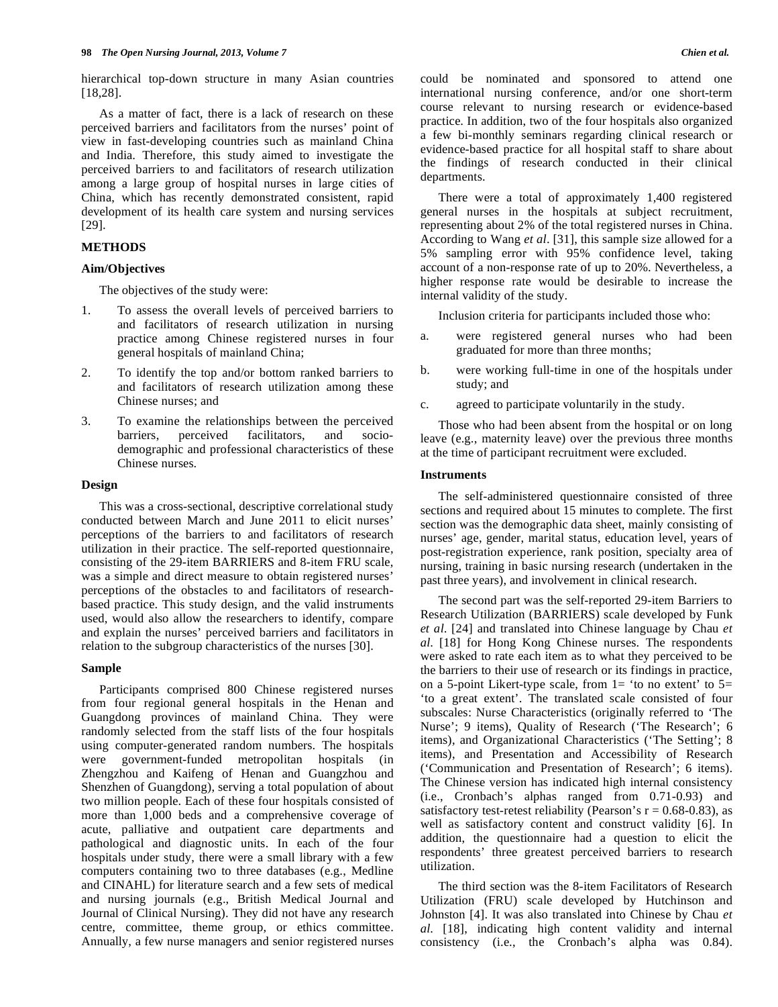hierarchical top-down structure in many Asian countries [18,28].

 As a matter of fact, there is a lack of research on these perceived barriers and facilitators from the nurses' point of view in fast-developing countries such as mainland China and India. Therefore, this study aimed to investigate the perceived barriers to and facilitators of research utilization among a large group of hospital nurses in large cities of China, which has recently demonstrated consistent, rapid development of its health care system and nursing services [29].

# **METHODS**

## **Aim/Objectives**

The objectives of the study were:

- 1. To assess the overall levels of perceived barriers to and facilitators of research utilization in nursing practice among Chinese registered nurses in four general hospitals of mainland China;
- 2. To identify the top and/or bottom ranked barriers to and facilitators of research utilization among these Chinese nurses; and
- 3. To examine the relationships between the perceived barriers, perceived facilitators, and sociodemographic and professional characteristics of these Chinese nurses.

#### **Design**

 This was a cross-sectional, descriptive correlational study conducted between March and June 2011 to elicit nurses' perceptions of the barriers to and facilitators of research utilization in their practice. The self-reported questionnaire, consisting of the 29-item BARRIERS and 8-item FRU scale, was a simple and direct measure to obtain registered nurses' perceptions of the obstacles to and facilitators of researchbased practice. This study design, and the valid instruments used, would also allow the researchers to identify, compare and explain the nurses' perceived barriers and facilitators in relation to the subgroup characteristics of the nurses [30].

#### **Sample**

 Participants comprised 800 Chinese registered nurses from four regional general hospitals in the Henan and Guangdong provinces of mainland China. They were randomly selected from the staff lists of the four hospitals using computer-generated random numbers. The hospitals were government-funded metropolitan hospitals (in Zhengzhou and Kaifeng of Henan and Guangzhou and Shenzhen of Guangdong), serving a total population of about two million people. Each of these four hospitals consisted of more than 1,000 beds and a comprehensive coverage of acute, palliative and outpatient care departments and pathological and diagnostic units. In each of the four hospitals under study, there were a small library with a few computers containing two to three databases (e.g., Medline and CINAHL) for literature search and a few sets of medical and nursing journals (e.g., British Medical Journal and Journal of Clinical Nursing). They did not have any research centre, committee, theme group, or ethics committee. Annually, a few nurse managers and senior registered nurses

could be nominated and sponsored to attend one international nursing conference, and/or one short-term course relevant to nursing research or evidence-based practice. In addition, two of the four hospitals also organized a few bi-monthly seminars regarding clinical research or evidence-based practice for all hospital staff to share about the findings of research conducted in their clinical departments.

 There were a total of approximately 1,400 registered general nurses in the hospitals at subject recruitment, representing about 2% of the total registered nurses in China. According to Wang *et al*. [31], this sample size allowed for a 5% sampling error with 95% confidence level, taking account of a non-response rate of up to 20%. Nevertheless, a higher response rate would be desirable to increase the internal validity of the study.

Inclusion criteria for participants included those who:

- a. were registered general nurses who had been graduated for more than three months;
- b. were working full-time in one of the hospitals under study; and
- c. agreed to participate voluntarily in the study.

 Those who had been absent from the hospital or on long leave (e.g., maternity leave) over the previous three months at the time of participant recruitment were excluded.

### **Instruments**

 The self-administered questionnaire consisted of three sections and required about 15 minutes to complete. The first section was the demographic data sheet, mainly consisting of nurses' age, gender, marital status, education level, years of post-registration experience, rank position, specialty area of nursing, training in basic nursing research (undertaken in the past three years), and involvement in clinical research.

 The second part was the self-reported 29-item Barriers to Research Utilization (BARRIERS) scale developed by Funk *et al*. [24] and translated into Chinese language by Chau *et al*. [18] for Hong Kong Chinese nurses. The respondents were asked to rate each item as to what they perceived to be the barriers to their use of research or its findings in practice, on a 5-point Likert-type scale, from  $1=$  'to no extent' to  $5=$ 'to a great extent'. The translated scale consisted of four subscales: Nurse Characteristics (originally referred to 'The Nurse'; 9 items), Quality of Research ('The Research'; 6 items), and Organizational Characteristics ('The Setting'; 8 items), and Presentation and Accessibility of Research ('Communication and Presentation of Research'; 6 items). The Chinese version has indicated high internal consistency (i.e., Cronbach's alphas ranged from 0.71-0.93) and satisfactory test-retest reliability (Pearson's  $r = 0.68 - 0.83$ ), as well as satisfactory content and construct validity [6]. In addition, the questionnaire had a question to elicit the respondents' three greatest perceived barriers to research utilization.

 The third section was the 8-item Facilitators of Research Utilization (FRU) scale developed by Hutchinson and Johnston [4]. It was also translated into Chinese by Chau *et al*. [18], indicating high content validity and internal consistency (i.e., the Cronbach's alpha was 0.84).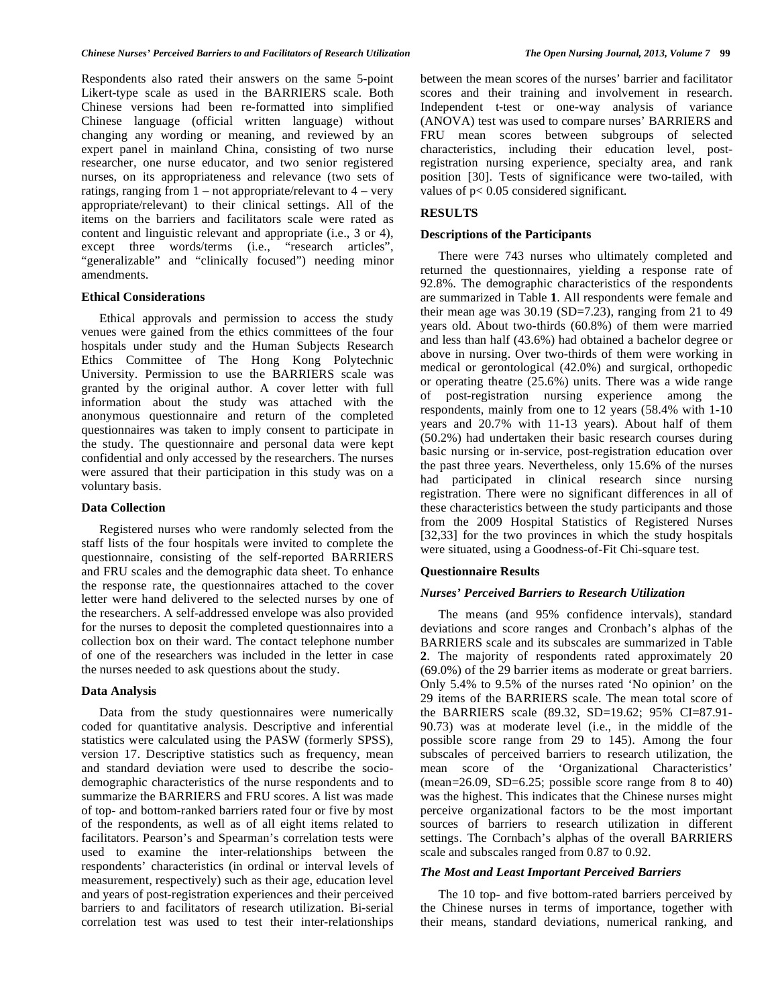Respondents also rated their answers on the same 5-point Likert-type scale as used in the BARRIERS scale. Both Chinese versions had been re-formatted into simplified Chinese language (official written language) without changing any wording or meaning, and reviewed by an expert panel in mainland China, consisting of two nurse researcher, one nurse educator, and two senior registered nurses, on its appropriateness and relevance (two sets of ratings, ranging from  $1 - not appropriate/relevant to 4 - very$ appropriate/relevant) to their clinical settings. All of the items on the barriers and facilitators scale were rated as content and linguistic relevant and appropriate (i.e., 3 or 4), except three words/terms (i.e., "research articles", "generalizable" and "clinically focused") needing minor amendments.

#### **Ethical Considerations**

 Ethical approvals and permission to access the study venues were gained from the ethics committees of the four hospitals under study and the Human Subjects Research Ethics Committee of The Hong Kong Polytechnic University. Permission to use the BARRIERS scale was granted by the original author. A cover letter with full information about the study was attached with the anonymous questionnaire and return of the completed questionnaires was taken to imply consent to participate in the study. The questionnaire and personal data were kept confidential and only accessed by the researchers. The nurses were assured that their participation in this study was on a voluntary basis.

## **Data Collection**

 Registered nurses who were randomly selected from the staff lists of the four hospitals were invited to complete the questionnaire, consisting of the self-reported BARRIERS and FRU scales and the demographic data sheet. To enhance the response rate, the questionnaires attached to the cover letter were hand delivered to the selected nurses by one of the researchers. A self-addressed envelope was also provided for the nurses to deposit the completed questionnaires into a collection box on their ward. The contact telephone number of one of the researchers was included in the letter in case the nurses needed to ask questions about the study.

#### **Data Analysis**

 Data from the study questionnaires were numerically coded for quantitative analysis. Descriptive and inferential statistics were calculated using the PASW (formerly SPSS), version 17. Descriptive statistics such as frequency, mean and standard deviation were used to describe the sociodemographic characteristics of the nurse respondents and to summarize the BARRIERS and FRU scores. A list was made of top- and bottom-ranked barriers rated four or five by most of the respondents, as well as of all eight items related to facilitators. Pearson's and Spearman's correlation tests were used to examine the inter-relationships between the respondents' characteristics (in ordinal or interval levels of measurement, respectively) such as their age, education level and years of post-registration experiences and their perceived barriers to and facilitators of research utilization. Bi-serial correlation test was used to test their inter-relationships

between the mean scores of the nurses' barrier and facilitator scores and their training and involvement in research. Independent t-test or one-way analysis of variance (ANOVA) test was used to compare nurses' BARRIERS and FRU mean scores between subgroups of selected characteristics, including their education level, postregistration nursing experience, specialty area, and rank position [30]. Tests of significance were two-tailed, with values of p< 0.05 considered significant.

## **RESULTS**

#### **Descriptions of the Participants**

 There were 743 nurses who ultimately completed and returned the questionnaires, yielding a response rate of 92.8%. The demographic characteristics of the respondents are summarized in Table **1**. All respondents were female and their mean age was  $30.19$  (SD=7.23), ranging from 21 to 49 years old. About two-thirds (60.8%) of them were married and less than half (43.6%) had obtained a bachelor degree or above in nursing. Over two-thirds of them were working in medical or gerontological (42.0%) and surgical, orthopedic or operating theatre (25.6%) units. There was a wide range of post-registration nursing experience among the respondents, mainly from one to 12 years (58.4% with 1-10 years and 20.7% with 11-13 years). About half of them (50.2%) had undertaken their basic research courses during basic nursing or in-service, post-registration education over the past three years. Nevertheless, only 15.6% of the nurses had participated in clinical research since nursing registration. There were no significant differences in all of these characteristics between the study participants and those from the 2009 Hospital Statistics of Registered Nurses [32,33] for the two provinces in which the study hospitals were situated, using a Goodness-of-Fit Chi-square test.

#### **Questionnaire Results**

# *Nurses' Perceived Barriers to Research Utilization*

 The means (and 95% confidence intervals), standard deviations and score ranges and Cronbach's alphas of the BARRIERS scale and its subscales are summarized in Table **2**. The majority of respondents rated approximately 20 (69.0%) of the 29 barrier items as moderate or great barriers. Only 5.4% to 9.5% of the nurses rated 'No opinion' on the 29 items of the BARRIERS scale. The mean total score of the BARRIERS scale (89.32, SD=19.62; 95% CI=87.91- 90.73) was at moderate level (i.e., in the middle of the possible score range from 29 to 145). Among the four subscales of perceived barriers to research utilization, the mean score of the 'Organizational Characteristics' (mean=26.09, SD=6.25; possible score range from 8 to 40) was the highest. This indicates that the Chinese nurses might perceive organizational factors to be the most important sources of barriers to research utilization in different settings. The Cornbach's alphas of the overall BARRIERS scale and subscales ranged from 0.87 to 0.92.

## *The Most and Least Important Perceived Barriers*

 The 10 top- and five bottom-rated barriers perceived by the Chinese nurses in terms of importance, together with their means, standard deviations, numerical ranking, and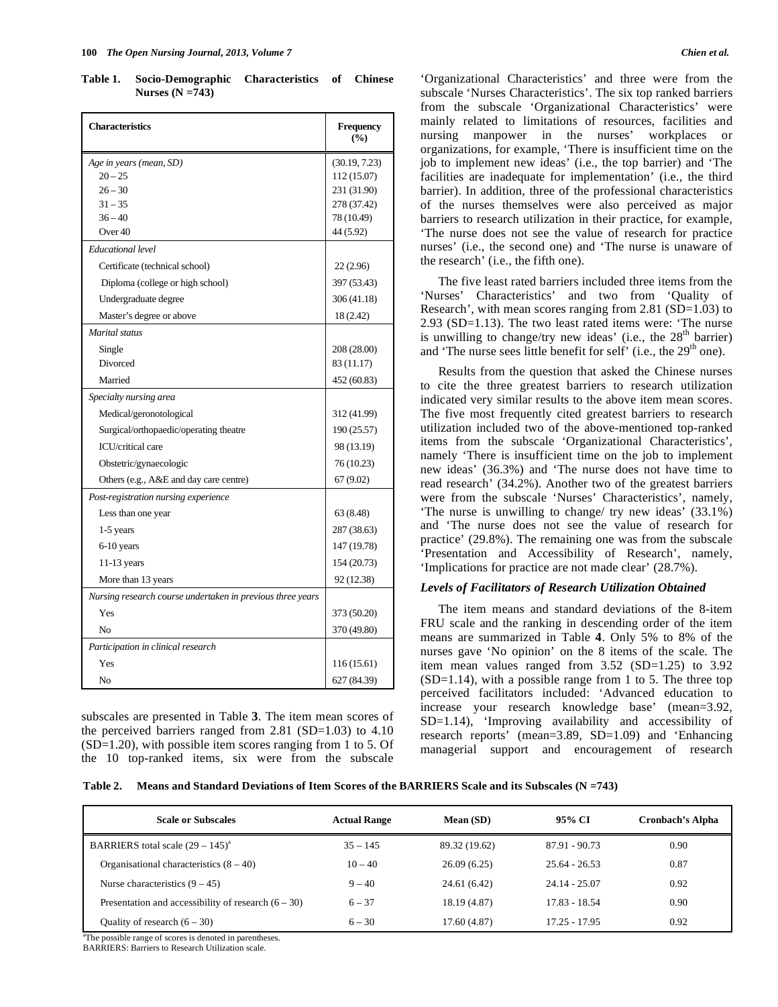**Table 1. Socio-Demographic Characteristics of Chinese Nurses (N =743)** 

| <b>Characteristics</b>                                     | <b>Frequency</b><br>(%) |
|------------------------------------------------------------|-------------------------|
| Age in years (mean, SD)                                    | (30.19, 7.23)           |
| $20 - 25$                                                  | 112 (15.07)             |
| $26 - 30$                                                  | 231 (31.90)             |
| $31 - 35$                                                  | 278 (37.42)             |
| $36 - 40$                                                  | 78 (10.49)              |
| Over $40$                                                  | 44 (5.92)               |
| Educational level                                          |                         |
| Certificate (technical school)                             | 22 (2.96)               |
| Diploma (college or high school)                           | 397 (53.43)             |
| Undergraduate degree                                       | 306 (41.18)             |
| Master's degree or above                                   | 18 (2.42)               |
| Marital status                                             |                         |
| Single                                                     | 208 (28.00)             |
| Divorced                                                   | 83 (11.17)              |
| Married                                                    | 452 (60.83)             |
| Specialty nursing area                                     |                         |
| Medical/geronotological                                    | 312 (41.99)             |
| Surgical/orthopaedic/operating theatre                     | 190 (25.57)             |
| <b>ICU/critical care</b>                                   | 98 (13.19)              |
| Obstetric/gynaecologic                                     | 76 (10.23)              |
| Others (e.g., A&E and day care centre)                     | 67 (9.02)               |
| Post-registration nursing experience                       |                         |
| Less than one year                                         | 63 (8.48)               |
| $1-5$ years                                                | 287 (38.63)             |
| 6-10 years                                                 | 147 (19.78)             |
| 11-13 years                                                | 154 (20.73)             |
| More than 13 years                                         | 92 (12.38)              |
| Nursing research course undertaken in previous three years |                         |
| Yes                                                        | 373 (50.20)             |
| No                                                         | 370 (49.80)             |
| Participation in clinical research                         |                         |
| Yes                                                        | 116 (15.61)             |
| No                                                         | 627 (84.39)             |

subscales are presented in Table **3**. The item mean scores of the perceived barriers ranged from  $2.81$  (SD=1.03) to  $4.10$ (SD=1.20), with possible item scores ranging from 1 to 5. Of the 10 top-ranked items, six were from the subscale

'Organizational Characteristics' and three were from the subscale 'Nurses Characteristics'. The six top ranked barriers from the subscale 'Organizational Characteristics' were mainly related to limitations of resources, facilities and nursing manpower in the nurses' workplaces or organizations, for example, 'There is insufficient time on the job to implement new ideas' (i.e., the top barrier) and 'The facilities are inadequate for implementation' (i.e., the third barrier). In addition, three of the professional characteristics of the nurses themselves were also perceived as major barriers to research utilization in their practice, for example, 'The nurse does not see the value of research for practice nurses' (i.e., the second one) and 'The nurse is unaware of the research' (i.e., the fifth one).

 The five least rated barriers included three items from the 'Nurses' Characteristics' and two from 'Quality of Research', with mean scores ranging from 2.81 (SD=1.03) to 2.93 (SD=1.13). The two least rated items were: 'The nurse is unwilling to change/try new ideas' (i.e., the  $28<sup>th</sup>$  barrier) and 'The nurse sees little benefit for self' (i.e., the 29<sup>th</sup> one).

 Results from the question that asked the Chinese nurses to cite the three greatest barriers to research utilization indicated very similar results to the above item mean scores. The five most frequently cited greatest barriers to research utilization included two of the above-mentioned top-ranked items from the subscale 'Organizational Characteristics', namely 'There is insufficient time on the job to implement new ideas' (36.3%) and 'The nurse does not have time to read research' (34.2%). Another two of the greatest barriers were from the subscale 'Nurses' Characteristics', namely, 'The nurse is unwilling to change/ try new ideas' (33.1%) and 'The nurse does not see the value of research for practice' (29.8%). The remaining one was from the subscale 'Presentation and Accessibility of Research', namely, 'Implications for practice are not made clear' (28.7%).

#### *Levels of Facilitators of Research Utilization Obtained*

 The item means and standard deviations of the 8-item FRU scale and the ranking in descending order of the item means are summarized in Table **4**. Only 5% to 8% of the nurses gave 'No opinion' on the 8 items of the scale. The item mean values ranged from 3.52 (SD=1.25) to 3.92  $(SD=1.14)$ , with a possible range from 1 to 5. The three top perceived facilitators included: 'Advanced education to increase your research knowledge base' (mean=3.92, SD=1.14), 'Improving availability and accessibility of research reports' (mean=3.89, SD=1.09) and 'Enhancing managerial support and encouragement of research

| Table 2. | Means and Standard Deviations of Item Scores of the BARRIERS Scale and its Subscales ( $N = 743$ ) |  |  |
|----------|----------------------------------------------------------------------------------------------------|--|--|
|----------|----------------------------------------------------------------------------------------------------|--|--|

| <b>Scale or Subscales</b>                                                                             | <b>Actual Range</b> | Mean (SD)     | 95% CI          | <b>Cronbach's Alpha</b> |
|-------------------------------------------------------------------------------------------------------|---------------------|---------------|-----------------|-------------------------|
| BARRIERS total scale $(29 - 145)^{a}$                                                                 | $35 - 145$          | 89.32 (19.62) | $87.91 - 90.73$ | 0.90                    |
| Organisational characteristics $(8 - 40)$                                                             | $10 - 40$           | 26.09(6.25)   | $25.64 - 26.53$ | 0.87                    |
| Nurse characteristics $(9 - 45)$                                                                      | $9 - 40$            | 24.61 (6.42)  | $24.14 - 25.07$ | 0.92                    |
| Presentation and accessibility of research $(6 - 30)$                                                 | $6 - 37$            | 18.19 (4.87)  | 17.83 - 18.54   | 0.90                    |
| Quality of research $(6 - 30)$<br><sup>a</sup> The nossible nonce of second is denoted in nonephases. | $6 - 30$            | 17.60(4.87)   | $17.25 - 17.95$ | 0.92                    |

sible range of scores is denoted in parentheses.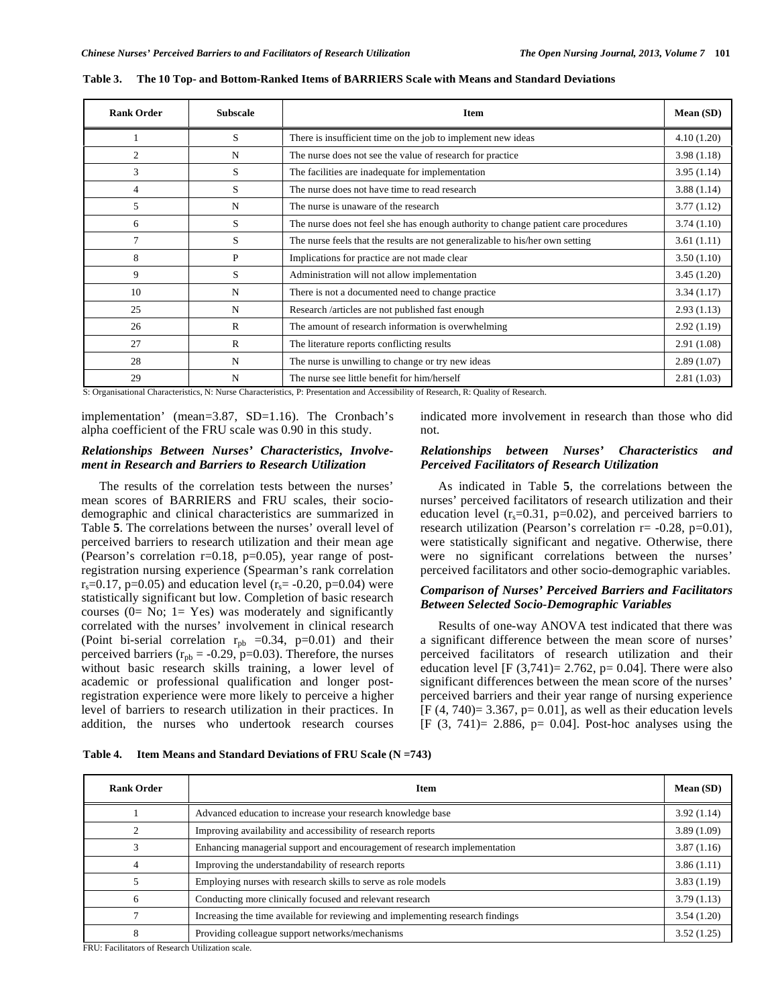| <b>Rank Order</b> | <b>Subscale</b> | <b>Item</b>                                                                        | Mean (SD)  |
|-------------------|-----------------|------------------------------------------------------------------------------------|------------|
|                   | S               | There is insufficient time on the job to implement new ideas                       | 4.10(1.20) |
| $\overline{c}$    | N               | The nurse does not see the value of research for practice                          | 3.98(1.18) |
| 3                 | S               | The facilities are inadequate for implementation                                   | 3.95(1.14) |
| 4                 | S               | The nurse does not have time to read research                                      | 3.88(1.14) |
| 5                 | N               | The nurse is unaware of the research                                               | 3.77(1.12) |
| 6                 | S               | The nurse does not feel she has enough authority to change patient care procedures | 3.74(1.10) |
| $\tau$            | S               | The nurse feels that the results are not generalizable to his/her own setting      | 3.61(1.11) |
| 8                 | P               | Implications for practice are not made clear                                       | 3.50(1.10) |
| 9                 | S               | Administration will not allow implementation                                       | 3.45(1.20) |
| 10                | N               | There is not a documented need to change practice                                  | 3.34(1.17) |
| 25                | N               | Research /articles are not published fast enough                                   | 2.93(1.13) |
| 26                | R               | The amount of research information is overwhelming                                 | 2.92(1.19) |
| 27                | $\mathsf{R}$    | The literature reports conflicting results                                         | 2.91(1.08) |
| 28                | N               | The nurse is unwilling to change or try new ideas                                  | 2.89(1.07) |
| 29                | N               | The nurse see little benefit for him/herself                                       | 2.81(1.03) |

**Table 3. The 10 Top- and Bottom-Ranked Items of BARRIERS Scale with Means and Standard Deviations** 

S: Organisational Characteristics, N: Nurse Characteristics, P: Presentation and Accessibility of Research, R: Quality of Research.

implementation' (mean=3.87, SD=1.16). The Cronbach's alpha coefficient of the FRU scale was 0.90 in this study.

### *Relationships Between Nurses' Characteristics, Involvement in Research and Barriers to Research Utilization*

 The results of the correlation tests between the nurses' mean scores of BARRIERS and FRU scales, their sociodemographic and clinical characteristics are summarized in Table **5**. The correlations between the nurses' overall level of perceived barriers to research utilization and their mean age (Pearson's correlation  $r=0.18$ ,  $p=0.05$ ), year range of postregistration nursing experience (Spearman's rank correlation  $r_s = 0.17$ , p=0.05) and education level  $(r_s = -0.20, p=0.04)$  were statistically significant but low. Completion of basic research courses  $(0= No; 1= Yes)$  was moderately and significantly correlated with the nurses' involvement in clinical research (Point bi-serial correlation  $r_{pb}$  =0.34, p=0.01) and their perceived barriers ( $r_{\text{pb}} = -0.29$ , p=0.03). Therefore, the nurses without basic research skills training, a lower level of academic or professional qualification and longer postregistration experience were more likely to perceive a higher level of barriers to research utilization in their practices. In addition, the nurses who undertook research courses

indicated more involvement in research than those who did not.

## *Relationships between Nurses' Characteristics and Perceived Facilitators of Research Utilization*

 As indicated in Table **5**, the correlations between the nurses' perceived facilitators of research utilization and their education level  $(r_s=0.31, p=0.02)$ , and perceived barriers to research utilization (Pearson's correlation  $r = -0.28$ ,  $p=0.01$ ), were statistically significant and negative. Otherwise, there were no significant correlations between the nurses' perceived facilitators and other socio-demographic variables.

## *Comparison of Nurses' Perceived Barriers and Facilitators Between Selected Socio-Demographic Variables*

 Results of one-way ANOVA test indicated that there was a significant difference between the mean score of nurses' perceived facilitators of research utilization and their education level  $[F (3,741)= 2.762, p= 0.04]$ . There were also significant differences between the mean score of the nurses' perceived barriers and their year range of nursing experience  $[F (4, 740)= 3.367, p= 0.01]$ , as well as their education levels  $[F (3, 741)= 2.886, p= 0.04]$ . Post-hoc analyses using the

|  | Table 4. Item Means and Standard Deviations of FRU Scale $(N = 743)$ |
|--|----------------------------------------------------------------------|
|--|----------------------------------------------------------------------|

| <b>Rank Order</b>                          | Item                                                                           |            |  |  |
|--------------------------------------------|--------------------------------------------------------------------------------|------------|--|--|
|                                            | Advanced education to increase your research knowledge base                    | 3.92(1.14) |  |  |
|                                            | Improving availability and accessibility of research reports                   | 3.89(1.09) |  |  |
|                                            | Enhancing managerial support and encouragement of research implementation      | 3.87(1.16) |  |  |
|                                            | Improving the understandability of research reports                            | 3.86(1.11) |  |  |
|                                            | Employing nurses with research skills to serve as role models                  | 3.83(1.19) |  |  |
| 6                                          | Conducting more clinically focused and relevant research                       | 3.79(1.13) |  |  |
|                                            | Increasing the time available for reviewing and implementing research findings | 3.54(1.20) |  |  |
| 8<br><b>PDIT PUBLIC CD</b> 1 THE PUBLIC ST | Providing colleague support networks/mechanisms                                | 3.52(1.25) |  |  |

FRU: Facilitators of Research Utilization scale.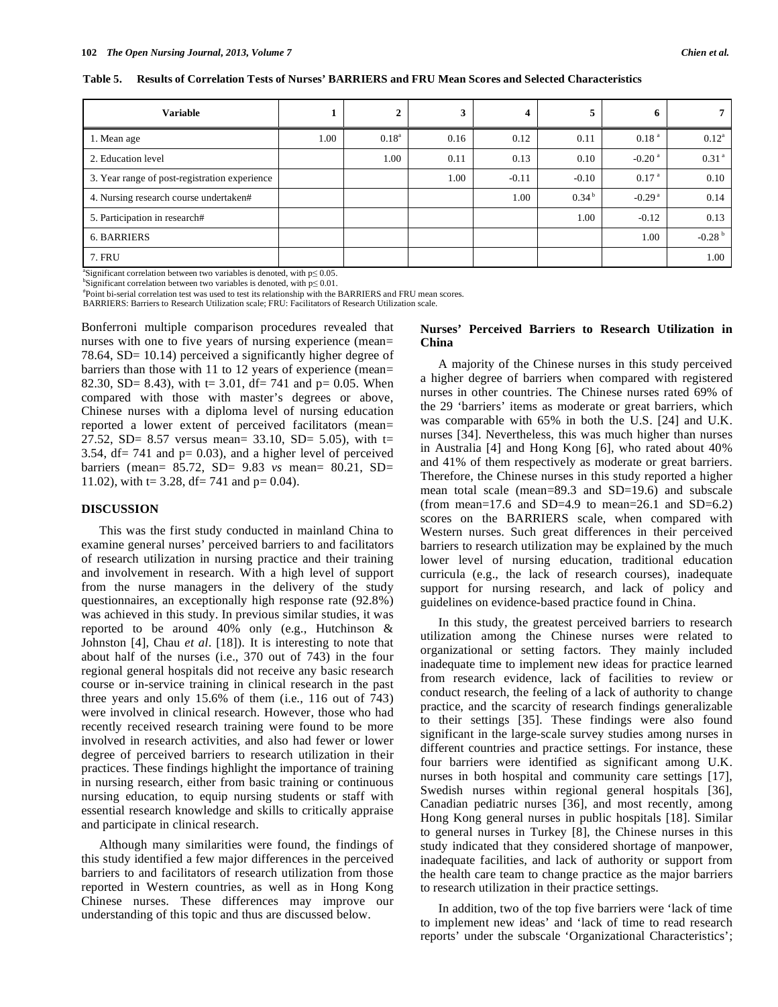| <b>Variable</b>                               |      | 2              | 3    | 4       |                   | 6                    |                      |
|-----------------------------------------------|------|----------------|------|---------|-------------------|----------------------|----------------------|
| 1. Mean age                                   | 1.00 | $0.18^{\rm a}$ | 0.16 | 0.12    | 0.11              | 0.18 <sup>a</sup>    | $0.12^{\rm a}$       |
| 2. Education level                            |      | 1.00           | 0.11 | 0.13    | 0.10              | $-0.20$ <sup>a</sup> | 0.31 <sup>a</sup>    |
| 3. Year range of post-registration experience |      |                | 1.00 | $-0.11$ | $-0.10$           | 0.17 <sup>a</sup>    | 0.10                 |
| 4. Nursing research course undertaken#        |      |                |      | 1.00    | 0.34 <sup>b</sup> | $-0.29a$             | 0.14                 |
| 5. Participation in research#                 |      |                |      |         | 1.00              | $-0.12$              | 0.13                 |
| <b>6. BARRIERS</b>                            |      |                |      |         |                   | 1.00                 | $-0.28$ <sup>b</sup> |
| 7. FRU                                        |      |                |      |         |                   |                      | 1.00                 |

**Table 5. Results of Correlation Tests of Nurses' BARRIERS and FRU Mean Scores and Selected Characteristics** 

<sup>a</sup>Significant correlation between two variables is denoted, with  $p \le 0.05$ .

 $\delta$ Significant correlation between two variables is denoted, with  $p \leq 0.01$ . Point bi-serial correlation test was used to test its relationship with the BARRIERS and FRU mean scores.

BARRIERS: Barriers to Research Utilization scale; FRU: Facilitators of Research Utilization scale.

Bonferroni multiple comparison procedures revealed that nurses with one to five years of nursing experience (mean= 78.64, SD= 10.14) perceived a significantly higher degree of barriers than those with 11 to 12 years of experience (mean= 82.30, SD= 8.43), with t= 3.01, df= 741 and p= 0.05. When compared with those with master's degrees or above, Chinese nurses with a diploma level of nursing education reported a lower extent of perceived facilitators (mean= 27.52, SD= 8.57 versus mean=  $33.10$ , SD=  $5.05$ ), with t= 3.54,  $df = 741$  and  $p = 0.03$ ), and a higher level of perceived barriers (mean= 85.72, SD= 9.83 *vs* mean= 80.21, SD= 11.02), with t= 3.28, df= 741 and  $p= 0.04$ .

#### **DISCUSSION**

 This was the first study conducted in mainland China to examine general nurses' perceived barriers to and facilitators of research utilization in nursing practice and their training and involvement in research. With a high level of support from the nurse managers in the delivery of the study questionnaires, an exceptionally high response rate (92.8%) was achieved in this study. In previous similar studies, it was reported to be around 40% only (e.g., Hutchinson & Johnston [4], Chau *et al*. [18]). It is interesting to note that about half of the nurses (i.e., 370 out of 743) in the four regional general hospitals did not receive any basic research course or in-service training in clinical research in the past three years and only 15.6% of them (i.e., 116 out of 743) were involved in clinical research. However, those who had recently received research training were found to be more involved in research activities, and also had fewer or lower degree of perceived barriers to research utilization in their practices. These findings highlight the importance of training in nursing research, either from basic training or continuous nursing education, to equip nursing students or staff with essential research knowledge and skills to critically appraise and participate in clinical research.

 Although many similarities were found, the findings of this study identified a few major differences in the perceived barriers to and facilitators of research utilization from those reported in Western countries, as well as in Hong Kong Chinese nurses. These differences may improve our understanding of this topic and thus are discussed below.

# **Nurses' Perceived Barriers to Research Utilization in China**

 A majority of the Chinese nurses in this study perceived a higher degree of barriers when compared with registered nurses in other countries. The Chinese nurses rated 69% of the 29 'barriers' items as moderate or great barriers, which was comparable with 65% in both the U.S. [24] and U.K. nurses [34]. Nevertheless, this was much higher than nurses in Australia [4] and Hong Kong [6], who rated about 40% and 41% of them respectively as moderate or great barriers. Therefore, the Chinese nurses in this study reported a higher mean total scale (mean=89.3 and SD=19.6) and subscale (from mean= $17.6$  and SD= $4.9$  to mean= $26.1$  and SD= $6.2$ ) scores on the BARRIERS scale, when compared with Western nurses. Such great differences in their perceived barriers to research utilization may be explained by the much lower level of nursing education, traditional education curricula (e.g., the lack of research courses), inadequate support for nursing research, and lack of policy and guidelines on evidence-based practice found in China.

 In this study, the greatest perceived barriers to research utilization among the Chinese nurses were related to organizational or setting factors. They mainly included inadequate time to implement new ideas for practice learned from research evidence, lack of facilities to review or conduct research, the feeling of a lack of authority to change practice, and the scarcity of research findings generalizable to their settings [35]. These findings were also found significant in the large-scale survey studies among nurses in different countries and practice settings. For instance, these four barriers were identified as significant among U.K. nurses in both hospital and community care settings [17], Swedish nurses within regional general hospitals [36], Canadian pediatric nurses [36], and most recently, among Hong Kong general nurses in public hospitals [18]. Similar to general nurses in Turkey [8], the Chinese nurses in this study indicated that they considered shortage of manpower, inadequate facilities, and lack of authority or support from the health care team to change practice as the major barriers to research utilization in their practice settings.

 In addition, two of the top five barriers were 'lack of time to implement new ideas' and 'lack of time to read research reports' under the subscale 'Organizational Characteristics';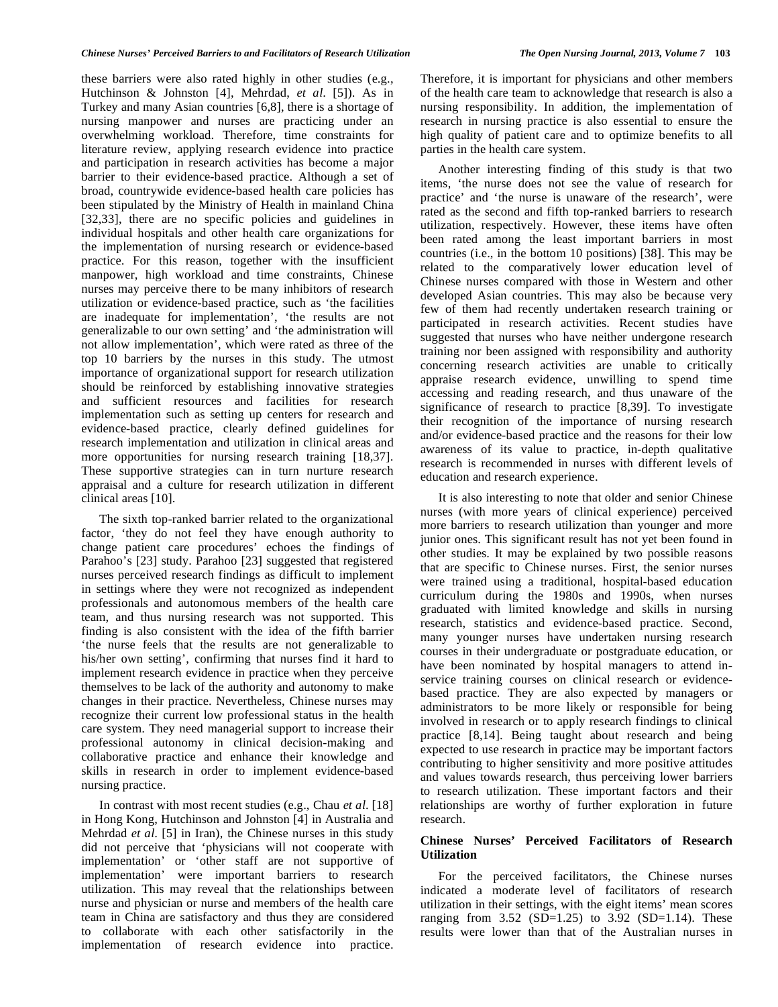these barriers were also rated highly in other studies (e.g., Hutchinson & Johnston [4], Mehrdad, *et al*. [5]). As in Turkey and many Asian countries [6,8], there is a shortage of nursing manpower and nurses are practicing under an overwhelming workload. Therefore, time constraints for literature review, applying research evidence into practice and participation in research activities has become a major barrier to their evidence-based practice. Although a set of broad, countrywide evidence-based health care policies has been stipulated by the Ministry of Health in mainland China [32,33], there are no specific policies and guidelines in individual hospitals and other health care organizations for the implementation of nursing research or evidence-based practice. For this reason, together with the insufficient manpower, high workload and time constraints, Chinese nurses may perceive there to be many inhibitors of research utilization or evidence-based practice, such as 'the facilities are inadequate for implementation', 'the results are not generalizable to our own setting' and 'the administration will not allow implementation', which were rated as three of the top 10 barriers by the nurses in this study. The utmost importance of organizational support for research utilization should be reinforced by establishing innovative strategies and sufficient resources and facilities for research implementation such as setting up centers for research and evidence-based practice, clearly defined guidelines for research implementation and utilization in clinical areas and more opportunities for nursing research training [18,37]. These supportive strategies can in turn nurture research appraisal and a culture for research utilization in different clinical areas [10].

 The sixth top-ranked barrier related to the organizational factor, 'they do not feel they have enough authority to change patient care procedures' echoes the findings of Parahoo's [23] study. Parahoo [23] suggested that registered nurses perceived research findings as difficult to implement in settings where they were not recognized as independent professionals and autonomous members of the health care team, and thus nursing research was not supported. This finding is also consistent with the idea of the fifth barrier 'the nurse feels that the results are not generalizable to his/her own setting', confirming that nurses find it hard to implement research evidence in practice when they perceive themselves to be lack of the authority and autonomy to make changes in their practice. Nevertheless, Chinese nurses may recognize their current low professional status in the health care system. They need managerial support to increase their professional autonomy in clinical decision-making and collaborative practice and enhance their knowledge and skills in research in order to implement evidence-based nursing practice.

 In contrast with most recent studies (e.g., Chau *et al*. [18] in Hong Kong, Hutchinson and Johnston [4] in Australia and Mehrdad *et al*. [5] in Iran), the Chinese nurses in this study did not perceive that 'physicians will not cooperate with implementation' or 'other staff are not supportive of implementation' were important barriers to research utilization. This may reveal that the relationships between nurse and physician or nurse and members of the health care team in China are satisfactory and thus they are considered to collaborate with each other satisfactorily in the implementation of research evidence into practice.

Therefore, it is important for physicians and other members of the health care team to acknowledge that research is also a nursing responsibility. In addition, the implementation of research in nursing practice is also essential to ensure the high quality of patient care and to optimize benefits to all parties in the health care system.

 Another interesting finding of this study is that two items, 'the nurse does not see the value of research for practice' and 'the nurse is unaware of the research', were rated as the second and fifth top-ranked barriers to research utilization, respectively. However, these items have often been rated among the least important barriers in most countries (i.e., in the bottom 10 positions) [38]. This may be related to the comparatively lower education level of Chinese nurses compared with those in Western and other developed Asian countries. This may also be because very few of them had recently undertaken research training or participated in research activities. Recent studies have suggested that nurses who have neither undergone research training nor been assigned with responsibility and authority concerning research activities are unable to critically appraise research evidence, unwilling to spend time accessing and reading research, and thus unaware of the significance of research to practice [8,39]. To investigate their recognition of the importance of nursing research and/or evidence-based practice and the reasons for their low awareness of its value to practice, in-depth qualitative research is recommended in nurses with different levels of education and research experience.

 It is also interesting to note that older and senior Chinese nurses (with more years of clinical experience) perceived more barriers to research utilization than younger and more junior ones. This significant result has not yet been found in other studies. It may be explained by two possible reasons that are specific to Chinese nurses. First, the senior nurses were trained using a traditional, hospital-based education curriculum during the 1980s and 1990s, when nurses graduated with limited knowledge and skills in nursing research, statistics and evidence-based practice. Second, many younger nurses have undertaken nursing research courses in their undergraduate or postgraduate education, or have been nominated by hospital managers to attend inservice training courses on clinical research or evidencebased practice. They are also expected by managers or administrators to be more likely or responsible for being involved in research or to apply research findings to clinical practice [8,14]. Being taught about research and being expected to use research in practice may be important factors contributing to higher sensitivity and more positive attitudes and values towards research, thus perceiving lower barriers to research utilization. These important factors and their relationships are worthy of further exploration in future research.

# **Chinese Nurses' Perceived Facilitators of Research Utilization**

 For the perceived facilitators, the Chinese nurses indicated a moderate level of facilitators of research utilization in their settings, with the eight items' mean scores ranging from  $3.52$  (SD=1.25) to  $3.92$  (SD=1.14). These results were lower than that of the Australian nurses in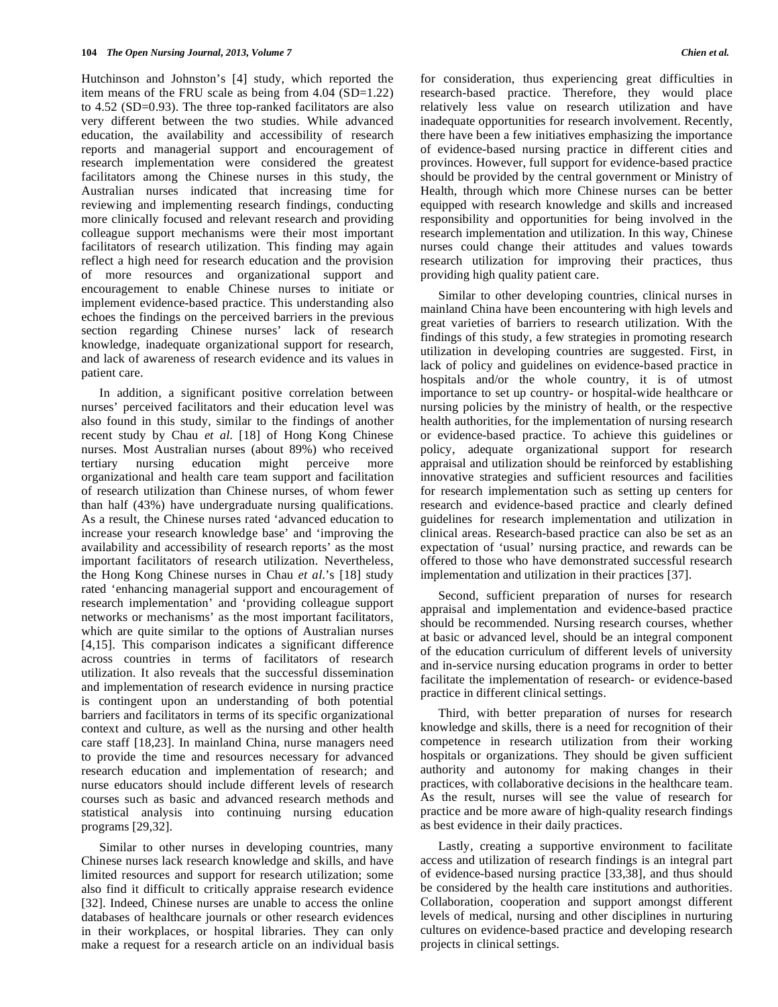Hutchinson and Johnston's [4] study, which reported the item means of the FRU scale as being from 4.04 (SD=1.22) to 4.52 (SD=0.93). The three top-ranked facilitators are also very different between the two studies. While advanced education, the availability and accessibility of research reports and managerial support and encouragement of research implementation were considered the greatest facilitators among the Chinese nurses in this study, the Australian nurses indicated that increasing time for reviewing and implementing research findings, conducting more clinically focused and relevant research and providing colleague support mechanisms were their most important facilitators of research utilization. This finding may again reflect a high need for research education and the provision of more resources and organizational support and encouragement to enable Chinese nurses to initiate or implement evidence-based practice. This understanding also echoes the findings on the perceived barriers in the previous section regarding Chinese nurses' lack of research knowledge, inadequate organizational support for research, and lack of awareness of research evidence and its values in patient care.

 In addition, a significant positive correlation between nurses' perceived facilitators and their education level was also found in this study, similar to the findings of another recent study by Chau *et al*. [18] of Hong Kong Chinese nurses. Most Australian nurses (about 89%) who received tertiary nursing education might perceive more organizational and health care team support and facilitation of research utilization than Chinese nurses, of whom fewer than half (43%) have undergraduate nursing qualifications. As a result, the Chinese nurses rated 'advanced education to increase your research knowledge base' and 'improving the availability and accessibility of research reports' as the most important facilitators of research utilization. Nevertheless, the Hong Kong Chinese nurses in Chau *et al*.'s [18] study rated 'enhancing managerial support and encouragement of research implementation' and 'providing colleague support networks or mechanisms' as the most important facilitators, which are quite similar to the options of Australian nurses [4,15]. This comparison indicates a significant difference across countries in terms of facilitators of research utilization. It also reveals that the successful dissemination and implementation of research evidence in nursing practice is contingent upon an understanding of both potential barriers and facilitators in terms of its specific organizational context and culture, as well as the nursing and other health care staff [18,23]. In mainland China, nurse managers need to provide the time and resources necessary for advanced research education and implementation of research; and nurse educators should include different levels of research courses such as basic and advanced research methods and statistical analysis into continuing nursing education programs [29,32].

 Similar to other nurses in developing countries, many Chinese nurses lack research knowledge and skills, and have limited resources and support for research utilization; some also find it difficult to critically appraise research evidence [32]. Indeed, Chinese nurses are unable to access the online databases of healthcare journals or other research evidences in their workplaces, or hospital libraries. They can only make a request for a research article on an individual basis for consideration, thus experiencing great difficulties in research-based practice. Therefore, they would place relatively less value on research utilization and have inadequate opportunities for research involvement. Recently, there have been a few initiatives emphasizing the importance of evidence-based nursing practice in different cities and provinces. However, full support for evidence-based practice should be provided by the central government or Ministry of Health, through which more Chinese nurses can be better equipped with research knowledge and skills and increased responsibility and opportunities for being involved in the research implementation and utilization. In this way, Chinese nurses could change their attitudes and values towards research utilization for improving their practices, thus providing high quality patient care.

 Similar to other developing countries, clinical nurses in mainland China have been encountering with high levels and great varieties of barriers to research utilization. With the findings of this study, a few strategies in promoting research utilization in developing countries are suggested. First, in lack of policy and guidelines on evidence-based practice in hospitals and/or the whole country, it is of utmost importance to set up country- or hospital-wide healthcare or nursing policies by the ministry of health, or the respective health authorities, for the implementation of nursing research or evidence-based practice. To achieve this guidelines or policy, adequate organizational support for research appraisal and utilization should be reinforced by establishing innovative strategies and sufficient resources and facilities for research implementation such as setting up centers for research and evidence-based practice and clearly defined guidelines for research implementation and utilization in clinical areas. Research-based practice can also be set as an expectation of 'usual' nursing practice, and rewards can be offered to those who have demonstrated successful research implementation and utilization in their practices [37].

 Second, sufficient preparation of nurses for research appraisal and implementation and evidence-based practice should be recommended. Nursing research courses, whether at basic or advanced level, should be an integral component of the education curriculum of different levels of university and in-service nursing education programs in order to better facilitate the implementation of research- or evidence-based practice in different clinical settings.

 Third, with better preparation of nurses for research knowledge and skills, there is a need for recognition of their competence in research utilization from their working hospitals or organizations. They should be given sufficient authority and autonomy for making changes in their practices, with collaborative decisions in the healthcare team. As the result, nurses will see the value of research for practice and be more aware of high-quality research findings as best evidence in their daily practices.

 Lastly, creating a supportive environment to facilitate access and utilization of research findings is an integral part of evidence-based nursing practice [33,38], and thus should be considered by the health care institutions and authorities. Collaboration, cooperation and support amongst different levels of medical, nursing and other disciplines in nurturing cultures on evidence-based practice and developing research projects in clinical settings.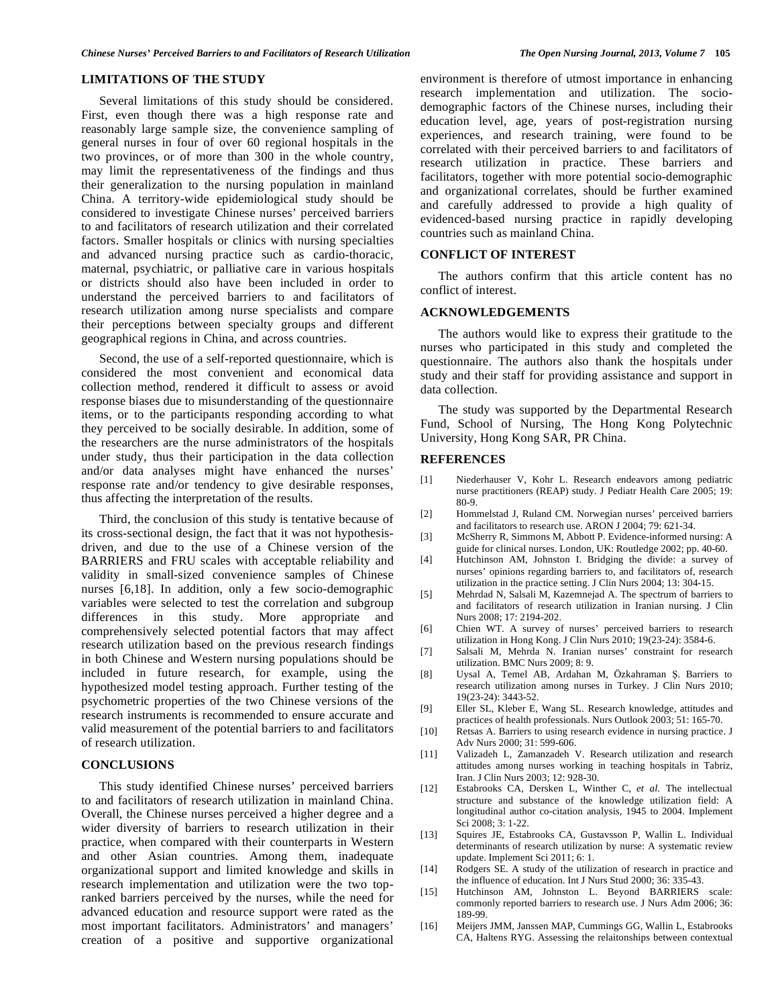# **LIMITATIONS OF THE STUDY**

 Several limitations of this study should be considered. First, even though there was a high response rate and reasonably large sample size, the convenience sampling of general nurses in four of over 60 regional hospitals in the two provinces, or of more than 300 in the whole country, may limit the representativeness of the findings and thus their generalization to the nursing population in mainland China. A territory-wide epidemiological study should be considered to investigate Chinese nurses' perceived barriers to and facilitators of research utilization and their correlated factors. Smaller hospitals or clinics with nursing specialties and advanced nursing practice such as cardio-thoracic, maternal, psychiatric, or palliative care in various hospitals or districts should also have been included in order to understand the perceived barriers to and facilitators of research utilization among nurse specialists and compare their perceptions between specialty groups and different geographical regions in China, and across countries.

 Second, the use of a self-reported questionnaire, which is considered the most convenient and economical data collection method, rendered it difficult to assess or avoid response biases due to misunderstanding of the questionnaire items, or to the participants responding according to what they perceived to be socially desirable. In addition, some of the researchers are the nurse administrators of the hospitals under study, thus their participation in the data collection and/or data analyses might have enhanced the nurses' response rate and/or tendency to give desirable responses, thus affecting the interpretation of the results.

 Third, the conclusion of this study is tentative because of its cross-sectional design, the fact that it was not hypothesisdriven, and due to the use of a Chinese version of the BARRIERS and FRU scales with acceptable reliability and validity in small-sized convenience samples of Chinese nurses [6,18]. In addition, only a few socio-demographic variables were selected to test the correlation and subgroup differences in this study. More appropriate and comprehensively selected potential factors that may affect research utilization based on the previous research findings in both Chinese and Western nursing populations should be included in future research, for example, using the hypothesized model testing approach. Further testing of the psychometric properties of the two Chinese versions of the research instruments is recommended to ensure accurate and valid measurement of the potential barriers to and facilitators of research utilization.

### **CONCLUSIONS**

 This study identified Chinese nurses' perceived barriers to and facilitators of research utilization in mainland China. Overall, the Chinese nurses perceived a higher degree and a wider diversity of barriers to research utilization in their practice, when compared with their counterparts in Western and other Asian countries. Among them, inadequate organizational support and limited knowledge and skills in research implementation and utilization were the two topranked barriers perceived by the nurses, while the need for advanced education and resource support were rated as the most important facilitators. Administrators' and managers' creation of a positive and supportive organizational

environment is therefore of utmost importance in enhancing research implementation and utilization. The sociodemographic factors of the Chinese nurses, including their education level, age, years of post-registration nursing experiences, and research training, were found to be correlated with their perceived barriers to and facilitators of research utilization in practice. These barriers and facilitators, together with more potential socio-demographic and organizational correlates, should be further examined and carefully addressed to provide a high quality of evidenced-based nursing practice in rapidly developing countries such as mainland China.

# **CONFLICT OF INTEREST**

 The authors confirm that this article content has no conflict of interest.

#### **ACKNOWLEDGEMENTS**

 The authors would like to express their gratitude to the nurses who participated in this study and completed the questionnaire. The authors also thank the hospitals under study and their staff for providing assistance and support in data collection.

 The study was supported by the Departmental Research Fund, School of Nursing, The Hong Kong Polytechnic University, Hong Kong SAR, PR China.

#### **REFERENCES**

- [1] Niederhauser V, Kohr L. Research endeavors among pediatric nurse practitioners (REAP) study. J Pediatr Health Care 2005; 19: 80-9.
- [2] Hommelstad J, Ruland CM. Norwegian nurses' perceived barriers and facilitators to research use. ARON J 2004; 79: 621-34.
- [3] McSherry R, Simmons M, Abbott P. Evidence-informed nursing: A guide for clinical nurses. London, UK: Routledge 2002; pp. 40-60.
- [4] Hutchinson AM, Johnston I. Bridging the divide: a survey of nurses' opinions regarding barriers to, and facilitators of, research utilization in the practice setting. J Clin Nurs 2004; 13: 304-15.
- [5] Mehrdad N, Salsali M, Kazemnejad A. The spectrum of barriers to and facilitators of research utilization in Iranian nursing. J Clin Nurs 2008; 17: 2194-202.
- [6] Chien WT. A survey of nurses' perceived barriers to research utilization in Hong Kong. J Clin Nurs 2010; 19(23-24): 3584-6.
- [7] Salsali M, Mehrda N. Iranian nurses' constraint for research utilization. BMC Nurs 2009; 8: 9.
- [8] Uysal A, Temel AB, Ardahan M, Özkahraman Ş. Barriers to research utilization among nurses in Turkey. J Clin Nurs 2010; 19(23-24): 3443-52.
- [9] Eller SL, Kleber E, Wang SL. Research knowledge, attitudes and practices of health professionals. Nurs Outlook 2003; 51: 165-70.
- [10] Retsas A. Barriers to using research evidence in nursing practice. J Adv Nurs 2000; 31: 599-606.
- [11] Valizadeh L, Zamanzadeh V. Research utilization and research attitudes among nurses working in teaching hospitals in Tabriz, Iran. J Clin Nurs 2003; 12: 928-30.
- [12] Estabrooks CA, Dersken L, Winther C, *et al*. The intellectual structure and substance of the knowledge utilization field: A longitudinal author co-citation analysis, 1945 to 2004. Implement Sci 2008; 3: 1-22.
- [13] Squires JE, Estabrooks CA, Gustavsson P, Wallin L. Individual determinants of research utilization by nurse: A systematic review update. Implement Sci 2011; 6: 1.
- [14] Rodgers SE. A study of the utilization of research in practice and the influence of education. Int J Nurs Stud 2000; 36: 335-43.
- [15] Hutchinson AM, Johnston L. Beyond BARRIERS scale: commonly reported barriers to research use. J Nurs Adm 2006; 36: 189-99.
- [16] Meijers JMM, Janssen MAP, Cummings GG, Wallin L, Estabrooks CA, Haltens RYG. Assessing the relaitonships between contextual